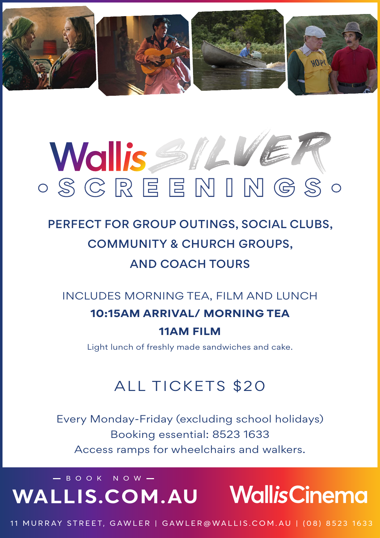

# •SCREENINGS• SILVER

## PERFECT FOR GROUP OUTINGS, SOCIAL CLUBS, COMMUNITY & CHURCH GROUPS, AND COACH TOURS

INCLUDES MORNING TEA, FILM AND LUNCH

## **10:15AM ARRIVAL/ MORNING TEA**

#### **11AM FILM**

Light lunch of freshly made sandwiches and cake.

#### ALL TICKETS \$20

Every Monday-Friday (excluding school holidays) Booking essential: 8523 1633 Access ramps for wheelchairs and walkers.

# $-$  BOOK NOW  $-$ **WALLIS.COM.AU**

11 MURRAY STREET, GAWLER | GAWLER@WALLIS.COM.AU | (08) 8523 1633